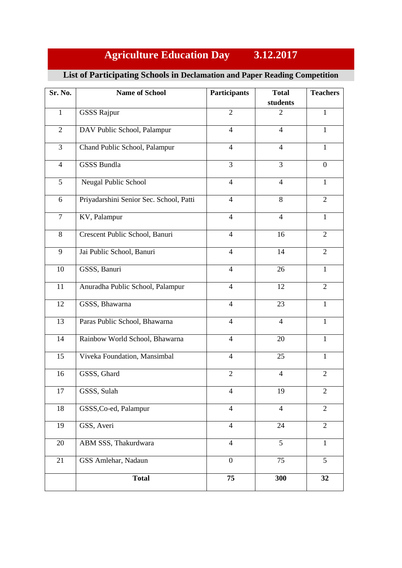## **Agriculture Education Day 3.12.2017**

## **List of Participating Schools in Declamation and Paper Reading Competition**

| Sr. No.        | <b>Name of School</b>                   | <b>Participants</b> | <b>Total</b>   | <b>Teachers</b> |
|----------------|-----------------------------------------|---------------------|----------------|-----------------|
|                |                                         |                     | students       |                 |
| $\mathbf{1}$   | <b>GSSS Rajpur</b>                      | $\overline{2}$      | $\overline{2}$ | $\mathbf{1}$    |
| $\overline{2}$ | DAV Public School, Palampur             | $\overline{4}$      | $\overline{4}$ | $\mathbf{1}$    |
| $\overline{3}$ | Chand Public School, Palampur           | $\overline{4}$      | $\overline{4}$ | $\mathbf{1}$    |
| $\overline{4}$ | <b>GSSS Bundla</b>                      | $\overline{3}$      | 3              | $\overline{0}$  |
| 5              | Neugal Public School                    | $\overline{4}$      | $\overline{4}$ | $\mathbf{1}$    |
| 6              | Priyadarshini Senior Sec. School, Patti | $\overline{4}$      | 8              | 2               |
| $\tau$         | KV, Palampur                            | $\overline{4}$      | $\overline{4}$ | $\mathbf{1}$    |
| 8              | Crescent Public School, Banuri          | $\overline{4}$      | 16             | $\overline{2}$  |
| 9              | Jai Public School, Banuri               | $\overline{4}$      | 14             | $\overline{2}$  |
| 10             | GSSS, Banuri                            | $\overline{4}$      | 26             | $\mathbf{1}$    |
| 11             | Anuradha Public School, Palampur        | $\overline{4}$      | 12             | $\overline{2}$  |
| 12             | GSSS, Bhawarna                          | $\overline{4}$      | 23             | $\mathbf{1}$    |
| 13             | Paras Public School, Bhawarna           | $\overline{4}$      | $\overline{4}$ | 1               |
| 14             | Rainbow World School, Bhawarna          | $\overline{4}$      | 20             | 1               |
| 15             | Viveka Foundation, Mansimbal            | $\overline{4}$      | 25             | $\mathbf{1}$    |
| 16             | GSSS, Ghard                             | $\overline{2}$      | $\overline{4}$ | 2               |
| 17             | GSSS, Sulah                             | $\overline{4}$      | 19             | $\mathbf{2}$    |
| 18             | GSSS, Co-ed, Palampur                   | $\overline{4}$      | $\overline{4}$ | $\overline{2}$  |
| 19             | GSS, Averi                              | $\overline{4}$      | 24             | $\overline{2}$  |
| 20             | ABM SSS, Thakurdwara                    | $\overline{4}$      | 5              | $\mathbf{1}$    |
| 21             | GSS Amlehar, Nadaun                     | $\overline{0}$      | 75             | 5               |
|                | <b>Total</b>                            | 75                  | 300            | 32              |